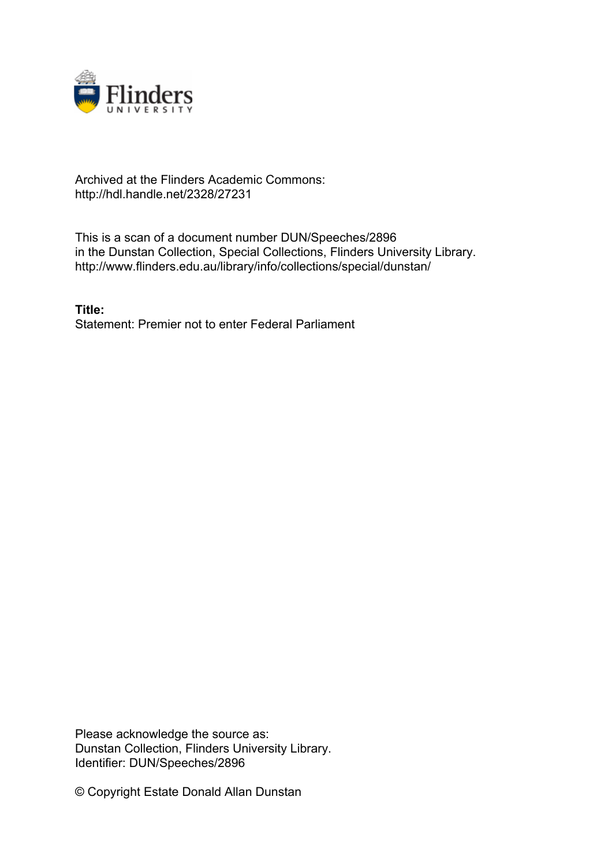

## Archived at the Flinders Academic Commons: http://hdl.handle.net/2328/27231

This is a scan of a document number DUN/Speeches/2896 in the Dunstan Collection, Special Collections, Flinders University Library. http://www.flinders.edu.au/library/info/collections/special/dunstan/

**Title:** Statement: Premier not to enter Federal Parliament

Please acknowledge the source as: Dunstan Collection, Flinders University Library. Identifier: DUN/Speeches/2896

© Copyright Estate Donald Allan Dunstan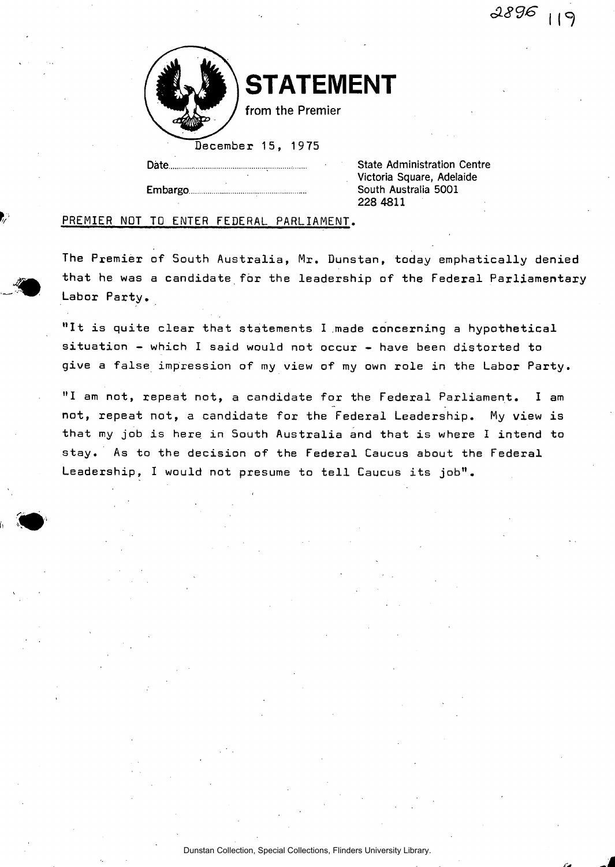*6L8<36* | | ^



**STATEMENT** 

from the Premier

December 15, 1975

Date. State Administration Centre Victoria Square, Adelaide Embargo **Embargo 2001** 228 4811

## PREMIER NOT TO ENTER FEDERAL PARLIAMENT.

The Premier of South Australia, Mr. Dunstan, today emphatically denied that he was a candidate for the leadership of the Federal Parliamentary Labor Party.

"It is quite clear that statements I made concerning a hypothetical situation - which I said would not occur - have been distorted to give a false impression of my view of my own role in the Labor Party.

"I am not, repeat not, a candidate for the Federal Parliament. I am not, repeat not, a candidate for the Federal Leadership. My view is that my job is here in South Australia and that is where I intend to stay. As to the decision of the Federal Caucus about the Federal Leadership, I would not presume to tell Caucus its job".